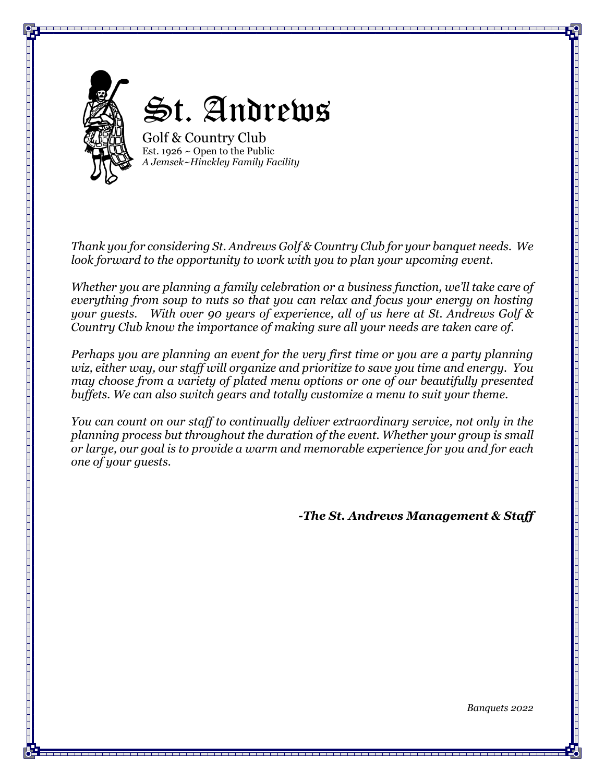

*Thank you for considering St. Andrews Golf & Country Club for your banquet needs. We look forward to the opportunity to work with you to plan your upcoming event.* 

*Whether you are planning a family celebration or a business function, we'll take care of everything from soup to nuts so that you can relax and focus your energy on hosting your guests. With over 90 years of experience, all of us here at St. Andrews Golf & Country Club know the importance of making sure all your needs are taken care of.* 

*Perhaps you are planning an event for the very first time or you are a party planning wiz, either way, our staff will organize and prioritize to save you time and energy. You may choose from a variety of plated menu options or one of our beautifully presented buffets. We can also switch gears and totally customize a menu to suit your theme.* 

*You can count on our staff to continually deliver extraordinary service, not only in the planning process but throughout the duration of the event. Whether your group is small or large, our goal is to provide a warm and memorable experience for you and for each one of your guests.* 

*-The St. Andrews Management & Staff*

*Banquets 2022*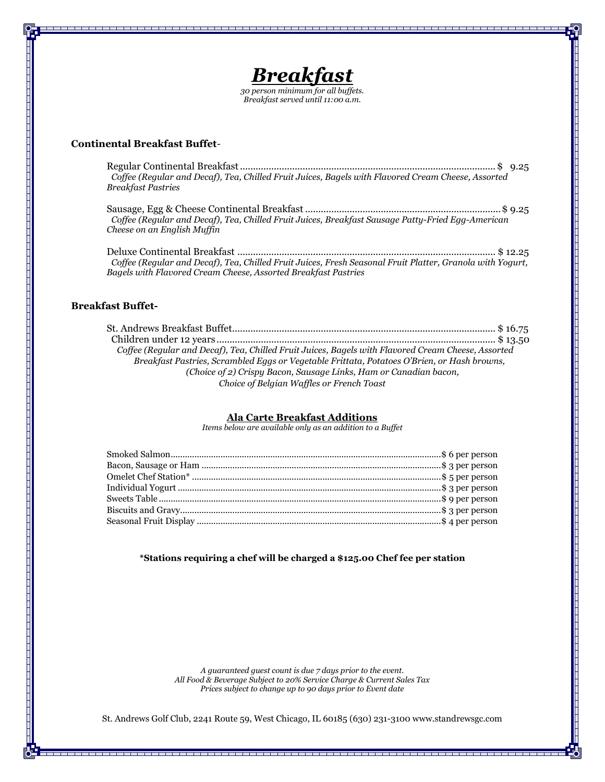

*Breakfast served until 11:00 a.m.*

## **Continental Breakfast Buffet***-*

Regular Continental Breakfast..................................................................................................\$ 9.25  *Coffee (Regular and Decaf), Tea, Chilled Fruit Juices, Bagels with Flavored Cream Cheese, Assorted Breakfast Pastries*

Sausage, Egg & Cheese Continental Breakfast ...........................................................................\$ 9.25  *Coffee (Regular and Decaf), Tea, Chilled Fruit Juices, Breakfast Sausage Patty-Fried Egg-American Cheese on an English Muffin*

Deluxe Continental Breakfast ................................................................................................... \$ 12.25  *Coffee (Regular and Decaf), Tea, Chilled Fruit Juices, Fresh Seasonal Fruit Platter, Granola with Yogurt, Bagels with Flavored Cream Cheese, Assorted Breakfast Pastries*

## **Breakfast Buffet-**

St. Andrews Breakfast Buffet..................................................................................................... \$ 16.75 Children under 12 years ........................................................................................................... \$ 13.50  *Coffee (Regular and Decaf), Tea, Chilled Fruit Juices, Bagels with Flavored Cream Cheese, Assorted Breakfast Pastries, Scrambled Eggs or Vegetable Frittata, Potatoes O'Brien, or Hash browns, (Choice of 2) Crispy Bacon, Sausage Links, Ham or Canadian bacon, Choice of Belgian Waffles or French Toast* 

## **Ala Carte Breakfast Additions**

*Items below are available only as an addition to a Buffet*

**\*Stations requiring a chef will be charged a \$125.00 Chef fee per station**

*A guaranteed guest count is due 7 days prior to the event. All Food & Beverage Subject to 20% Service Charge & Current Sales Tax Prices subject to change up to 90 days prior to Event date*

St. Andrews Golf Club, 2241 Route 59, West Chicago, IL 60185 (630) 231-3100 www.standrewsgc.com

s de la componenta de la componenta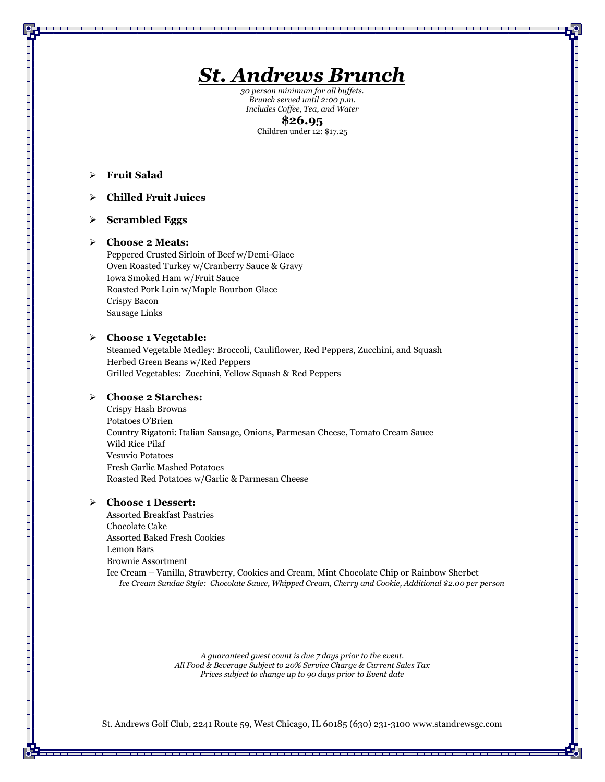

*30 person minimum for all buffets. Brunch served until 2:00 p.m. Includes Coffee, Tea, and Water* **\$26.95**

Children under 12: \$17.25

➢ **Fruit Salad**

## ➢ **Chilled Fruit Juices**

➢ **Scrambled Eggs**

### ➢ **Choose 2 Meats:**

Peppered Crusted Sirloin of Beef w/Demi-Glace Oven Roasted Turkey w/Cranberry Sauce & Gravy Iowa Smoked Ham w/Fruit Sauce Roasted Pork Loin w/Maple Bourbon Glace Crispy Bacon Sausage Links

## ➢ **Choose 1 Vegetable:**

Steamed Vegetable Medley: Broccoli, Cauliflower, Red Peppers, Zucchini, and Squash Herbed Green Beans w/Red Peppers Grilled Vegetables: Zucchini, Yellow Squash & Red Peppers

### ➢ **Choose 2 Starches:**

Crispy Hash Browns Potatoes O'Brien Country Rigatoni: Italian Sausage, Onions, Parmesan Cheese, Tomato Cream Sauce Wild Rice Pilaf Vesuvio Potatoes Fresh Garlic Mashed Potatoes Roasted Red Potatoes w/Garlic & Parmesan Cheese

## ➢ **Choose 1 Dessert:**

Assorted Breakfast Pastries Chocolate Cake Assorted Baked Fresh Cookies Lemon Bars Brownie Assortment Ice Cream – Vanilla, Strawberry, Cookies and Cream, Mint Chocolate Chip or Rainbow Sherbet *Ice Cream Sundae Style: Chocolate Sauce, Whipped Cream, Cherry and Cookie, Additional \$2.00 per person*

> *A guaranteed guest count is due 7 days prior to the event. All Food & Beverage Subject to 20% Service Charge & Current Sales Tax Prices subject to change up to 90 days prior to Event date*

St. Andrews Golf Club, 2241 Route 59, West Chicago, IL 60185 (630) 231-3100 www.standrewsgc.com

-----------------------------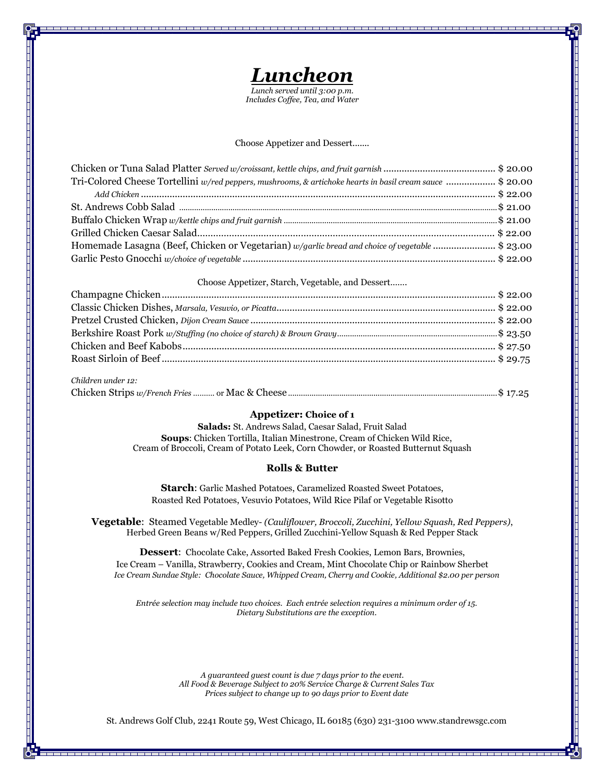

*Includes Coffee, Tea, and Water*

#### Choose Appetizer and Dessert.......

| Tri-Colored Cheese Tortellini w/red peppers, mushrooms, & artichoke hearts in basil cream sauce \$ 20.00 |  |
|----------------------------------------------------------------------------------------------------------|--|
|                                                                                                          |  |
|                                                                                                          |  |
|                                                                                                          |  |
|                                                                                                          |  |
| Homemade Lasagna (Beef, Chicken or Vegetarian) w/garlic bread and choice of vegetable \$ 23.00           |  |
|                                                                                                          |  |

#### Choose Appetizer, Starch, Vegetable, and Dessert…….

| Children under 12: |  |
|--------------------|--|

| $C$ uau $C$ uau and $L$ |  |  |
|-------------------------|--|--|
|                         |  |  |

## **Appetizer: Choice of 1**

**Salads:** St. Andrews Salad, Caesar Salad, Fruit Salad **Soups**: Chicken Tortilla, Italian Minestrone, Cream of Chicken Wild Rice, Cream of Broccoli, Cream of Potato Leek, Corn Chowder, or Roasted Butternut Squash

#### **Rolls & Butter**

**Starch**: Garlic Mashed Potatoes, Caramelized Roasted Sweet Potatoes, Roasted Red Potatoes, Vesuvio Potatoes, Wild Rice Pilaf or Vegetable Risotto

**Vegetable**: Steamed Vegetable Medley- *(Cauliflower, Broccoli, Zucchini, Yellow Squash, Red Peppers)*, Herbed Green Beans w/Red Peppers, Grilled Zucchini-Yellow Squash & Red Pepper Stack

**Dessert**: Chocolate Cake, Assorted Baked Fresh Cookies, Lemon Bars, Brownies, Ice Cream – Vanilla, Strawberry, Cookies and Cream, Mint Chocolate Chip or Rainbow Sherbet *Ice Cream Sundae Style: Chocolate Sauce, Whipped Cream, Cherry and Cookie, Additional \$2.00 per person*

*Entrée selection may include two choices. Each entrée selection requires a minimum order of 15. Dietary Substitutions are the exception.*

> *A guaranteed guest count is due 7 days prior to the event. All Food & Beverage Subject to 20% Service Charge & Current Sales Tax Prices subject to change up to 90 days prior to Event date*

St. Andrews Golf Club, 2241 Route 59, West Chicago, IL 60185 (630) 231-3100 www.standrewsgc.com

ر سے پس سے سے سے بھر سے سے سے بھر بھر سے ب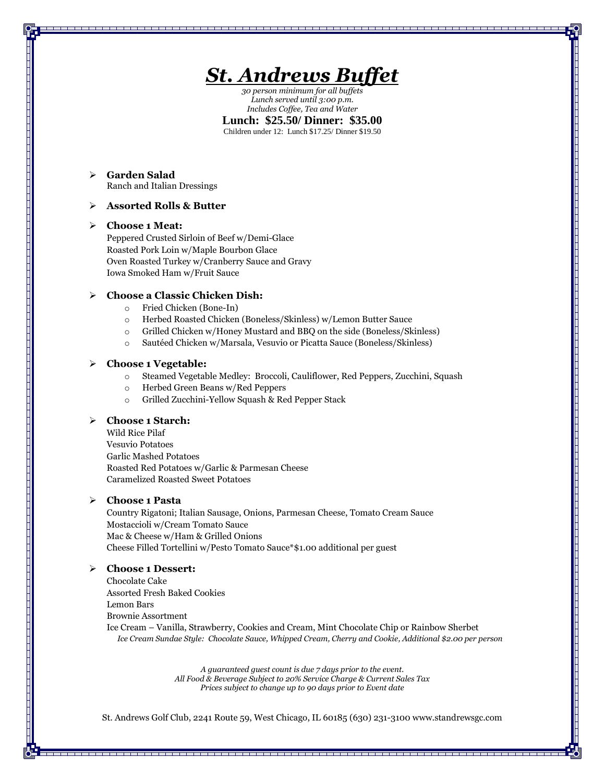

*30 person minimum for all buffets Lunch served until 3:00 p.m. Includes Coffee, Tea and Water*

**Lunch: \$25.50/ Dinner: \$35.00**

Children under 12: Lunch \$17.25/ Dinner \$19.50

## ➢ **Garden Salad**  Ranch and Italian Dressings

## ➢ **Assorted Rolls & Butter**

#### ➢ **Choose 1 Meat:**

Peppered Crusted Sirloin of Beef w/Demi-Glace Roasted Pork Loin w/Maple Bourbon Glace Oven Roasted Turkey w/Cranberry Sauce and Gravy Iowa Smoked Ham w/Fruit Sauce

## ➢ **Choose a Classic Chicken Dish:**

- o Fried Chicken (Bone-In)
- o Herbed Roasted Chicken (Boneless/Skinless) w/Lemon Butter Sauce
- o Grilled Chicken w/Honey Mustard and BBQ on the side (Boneless/Skinless)
- o Sautéed Chicken w/Marsala, Vesuvio or Picatta Sauce (Boneless/Skinless)

## ➢ **Choose 1 Vegetable:**

- o Steamed Vegetable Medley: Broccoli, Cauliflower, Red Peppers, Zucchini, Squash
- o Herbed Green Beans w/Red Peppers
- o Grilled Zucchini-Yellow Squash & Red Pepper Stack

## ➢ **Choose 1 Starch:**

Wild Rice Pilaf Vesuvio Potatoes Garlic Mashed Potatoes Roasted Red Potatoes w/Garlic & Parmesan Cheese Caramelized Roasted Sweet Potatoes

## ➢ **Choose 1 Pasta**

Country Rigatoni; Italian Sausage, Onions, Parmesan Cheese, Tomato Cream Sauce Mostaccioli w/Cream Tomato Sauce Mac & Cheese w/Ham & Grilled Onions Cheese Filled Tortellini w/Pesto Tomato Sauce\*\$1.00 additional per guest

## ➢ **Choose 1 Dessert:**

Chocolate Cake Assorted Fresh Baked Cookies Lemon Bars Brownie Assortment Ice Cream – Vanilla, Strawberry, Cookies and Cream, Mint Chocolate Chip or Rainbow Sherbet *Ice Cream Sundae Style: Chocolate Sauce, Whipped Cream, Cherry and Cookie, Additional \$2.00 per person*

> *A guaranteed guest count is due 7 days prior to the event. All Food & Beverage Subject to 20% Service Charge & Current Sales Tax Prices subject to change up to 90 days prior to Event date*

St. Andrews Golf Club, 2241 Route 59, West Chicago, IL 60185 (630) 231-3100 www.standrewsgc.com

------------------------------------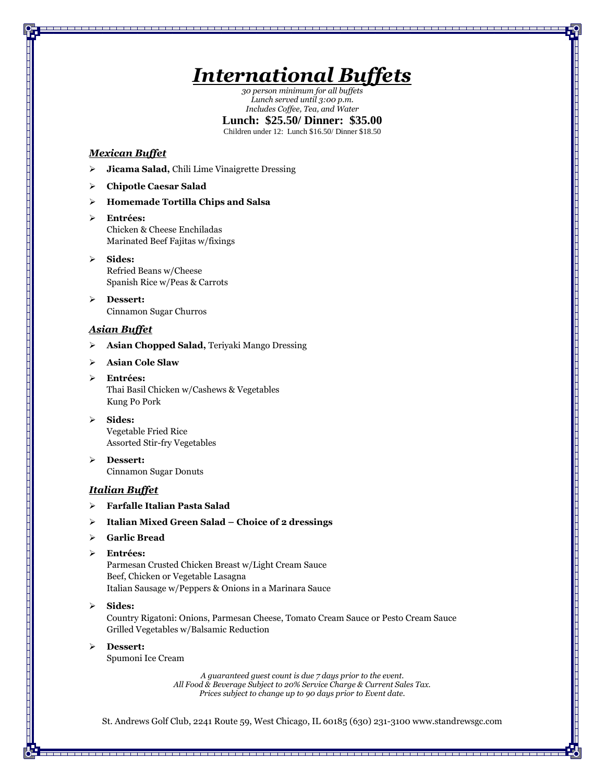# *International Buffets*

*30 person minimum for all buffets Lunch served until 3:00 p.m. Includes Coffee, Tea, and Water*

## **Lunch: \$25.50/ Dinner: \$35.00**

Children under 12: Lunch \$16.50/ Dinner \$18.50

## *Mexican Buffet*

- ➢ **Jicama Salad,** Chili Lime Vinaigrette Dressing
- ➢ **Chipotle Caesar Salad**

## ➢ **Homemade Tortilla Chips and Salsa**

- ➢ **Entrées:** Chicken & Cheese Enchiladas Marinated Beef Fajitas w/fixings
- ➢ **Sides:** Refried Beans w/Cheese Spanish Rice w/Peas & Carrots
- ➢ **Dessert:** Cinnamon Sugar Churros

## *Asian Buffet*

- ➢ **Asian Chopped Salad,** Teriyaki Mango Dressing
- ➢ **Asian Cole Slaw**
- ➢ **Entrées:** Thai Basil Chicken w/Cashews & Vegetables Kung Po Pork
- ➢ **Sides:** Vegetable Fried Rice Assorted Stir-fry Vegetables
- ➢ **Dessert:** Cinnamon Sugar Donuts

## *Italian Buffet*

- ➢ **Farfalle Italian Pasta Salad**
- ➢ **Italian Mixed Green Salad – Choice of 2 dressings**
- ➢ **Garlic Bread**

## ➢ **Entrées:**

Parmesan Crusted Chicken Breast w/Light Cream Sauce Beef, Chicken or Vegetable Lasagna Italian Sausage w/Peppers & Onions in a Marinara Sauce

#### ➢ **Sides:**

Country Rigatoni: Onions, Parmesan Cheese, Tomato Cream Sauce or Pesto Cream Sauce Grilled Vegetables w/Balsamic Reduction

➢ **Dessert:**

Spumoni Ice Cream

*A guaranteed guest count is due 7 days prior to the event. All Food & Beverage Subject to 20% Service Charge & Current Sales Tax. Prices subject to change up to 90 days prior to Event date.*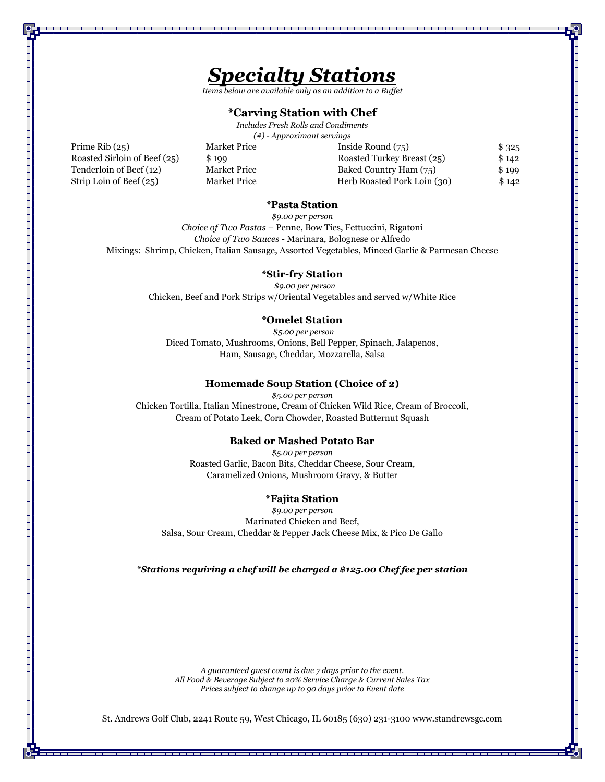

*Items below are available only as an addition to a Buffet*

## **\*Carving Station with Chef**

*Includes Fresh Rolls and Condiments (#) - Approximant servings* 

Prime Rib (25) Market Price Inside Round (75) \$ 325 Roasted Sirloin of Beef (25) \$199 Roasted Turkey Breast (25) \$142 Tenderloin of Beef (12) Market Price Baked Country Ham (75) \$ 199 Strip Loin of Beef (25) Market Price Herb Roasted Pork Loin (30) \$142

## **\*Pasta Station**

*\$9.00 per person Choice of Two Pastas* – Penne, Bow Ties, Fettuccini, Rigatoni *Choice of Two Sauces* - Marinara, Bolognese or Alfredo Mixings: Shrimp, Chicken, Italian Sausage, Assorted Vegetables, Minced Garlic & Parmesan Cheese

#### **\*Stir-fry Station**

 *\$9.00 per person*  Chicken, Beef and Pork Strips w/Oriental Vegetables and served w/White Rice

## **\*Omelet Station**

*\$5.00 per person* Diced Tomato, Mushrooms, Onions, Bell Pepper, Spinach, Jalapenos, Ham, Sausage, Cheddar, Mozzarella, Salsa

### **Homemade Soup Station (Choice of 2)**

*\$5.00 per person* Chicken Tortilla, Italian Minestrone, Cream of Chicken Wild Rice, Cream of Broccoli, Cream of Potato Leek, Corn Chowder, Roasted Butternut Squash

## **Baked or Mashed Potato Bar**

*\$5.00 per person* Roasted Garlic, Bacon Bits, Cheddar Cheese, Sour Cream, Caramelized Onions, Mushroom Gravy, & Butter

## **\*Fajita Station**

*\$9.00 per person* Marinated Chicken and Beef, Salsa, Sour Cream, Cheddar & Pepper Jack Cheese Mix, & Pico De Gallo

*\*Stations requiring a chef will be charged a \$125.00 Chef fee per station*

*A guaranteed guest count is due 7 days prior to the event. All Food & Beverage Subject to 20% Service Charge & Current Sales Tax Prices subject to change up to 90 days prior to Event date*

St. Andrews Golf Club, 2241 Route 59, West Chicago, IL 60185 (630) 231-3100 www.standrewsgc.com

-------------------------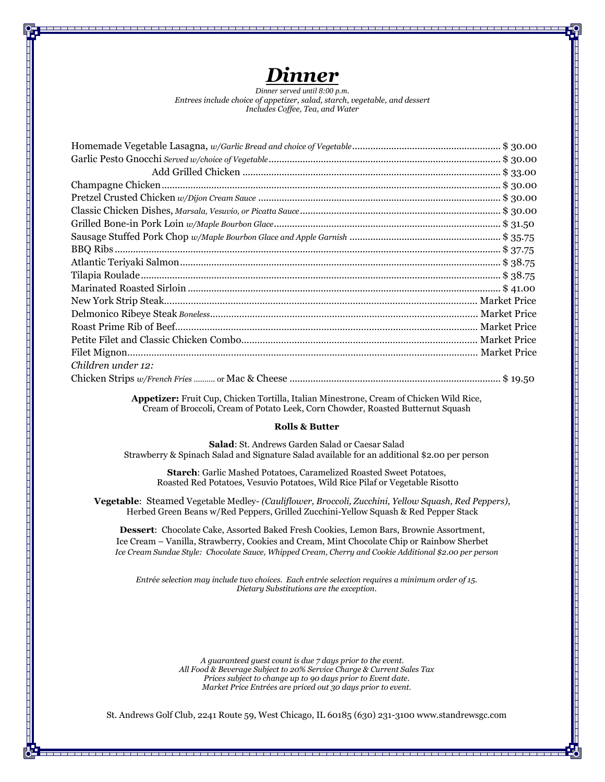

*Dinner served until 8:00 p.m*. *Entrees include choice of appetizer, salad, starch, vegetable, and dessert Includes Coffee, Tea, and Water*

| Children under 12: |  |
|--------------------|--|
|                    |  |

**Appetizer:** Fruit Cup, Chicken Tortilla, Italian Minestrone, Cream of Chicken Wild Rice, Cream of Broccoli, Cream of Potato Leek, Corn Chowder, Roasted Butternut Squash

## **Rolls & Butter**

**Salad**: St. Andrews Garden Salad or Caesar Salad Strawberry & Spinach Salad and Signature Salad available for an additional \$2.00 per person

**Starch**: Garlic Mashed Potatoes, Caramelized Roasted Sweet Potatoes, Roasted Red Potatoes, Vesuvio Potatoes, Wild Rice Pilaf or Vegetable Risotto

**Vegetable**: Steamed Vegetable Medley- *(Cauliflower, Broccoli, Zucchini, Yellow Squash, Red Peppers)*, Herbed Green Beans w/Red Peppers, Grilled Zucchini-Yellow Squash & Red Pepper Stack

**Dessert**: Chocolate Cake, Assorted Baked Fresh Cookies, Lemon Bars, Brownie Assortment, Ice Cream – Vanilla, Strawberry, Cookies and Cream, Mint Chocolate Chip or Rainbow Sherbet *Ice Cream Sundae Style: Chocolate Sauce, Whipped Cream, Cherry and Cookie Additional \$2.00 per person*

*Entrée selection may include two choices. Each entrée selection requires a minimum order of 15. Dietary Substitutions are the exception.*

> *A guaranteed guest count is due 7 days prior to the event. All Food & Beverage Subject to 20% Service Charge & Current Sales Tax Prices subject to change up to 90 days prior to Event date. Market Price Entrées are priced out 30 days prior to event.*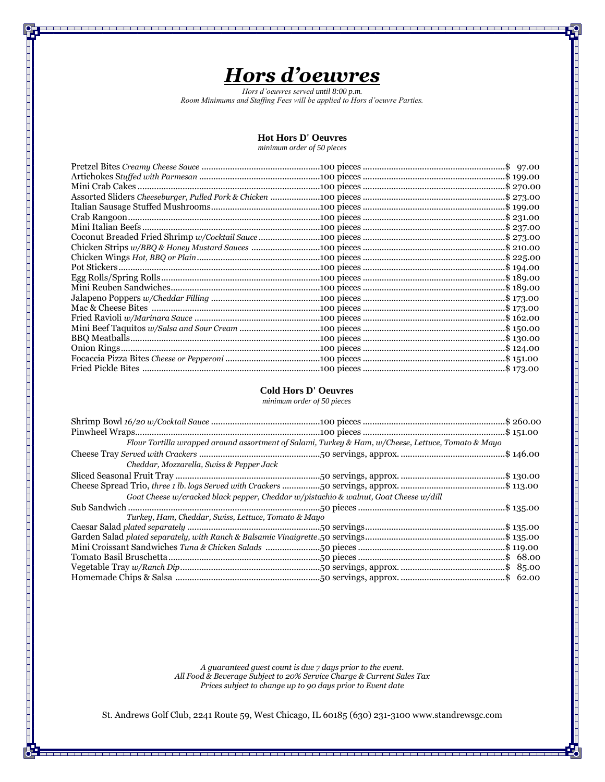## *Hors d'oeuvres*

\_\_\_\_\_\_\_

*Hors d'oeuvres served until 8:00 p.m. Room Minimums and Staffing Fees will be applied to Hors d'oeuvre Parties.*

## **Hot Hors D' Oeuvres**

*minimum order of 50 pieces*

## **Cold Hors D' Oeuvres**

*minimum order of 50 pieces*

| Flour Tortilla wrapped around assortment of Salami, Turkey & Ham, w/Cheese, Lettuce, Tomato & Mayo |  |
|----------------------------------------------------------------------------------------------------|--|
|                                                                                                    |  |
| Cheddar, Mozzarella, Swiss & Pepper Jack                                                           |  |
|                                                                                                    |  |
|                                                                                                    |  |
| Goat Cheese w/cracked black pepper, Cheddar w/pistachio & walnut, Goat Cheese w/dill               |  |
|                                                                                                    |  |
| Turkey, Ham, Cheddar, Swiss, Lettuce, Tomato & Mayo                                                |  |
|                                                                                                    |  |
|                                                                                                    |  |
|                                                                                                    |  |
|                                                                                                    |  |
|                                                                                                    |  |
|                                                                                                    |  |
|                                                                                                    |  |

*A guaranteed guest count is due 7 days prior to the event. All Food & Beverage Subject to 20% Service Charge & Current Sales Tax Prices subject to change up to 90 days prior to Event date*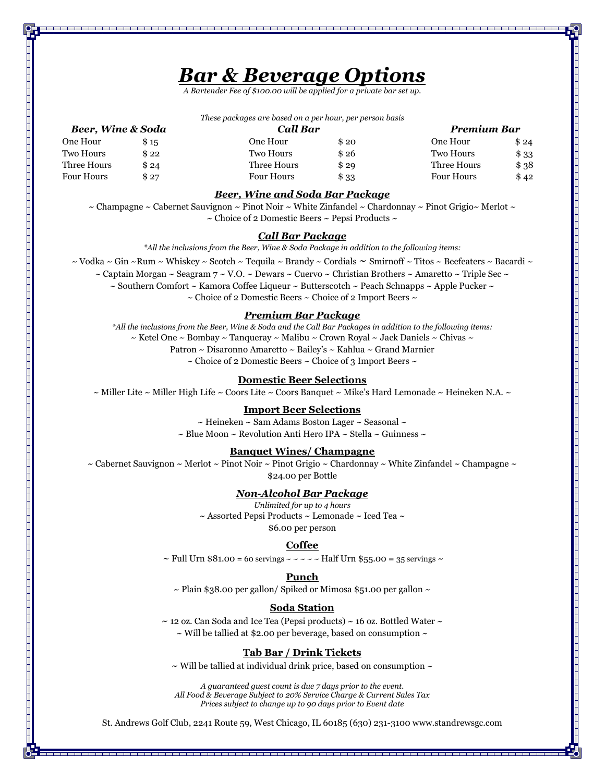## *Bar & Beverage Options*

*A Bartender Fee of \$100.00 will be applied for a private bar set up.*

*These packages are based on a per hour, per person basis*

*Beer, Wine & Soda Call Bar Premium Bar* 

|  |  | <b>Beer, Wine &amp; Soda</b> |
|--|--|------------------------------|
|--|--|------------------------------|

| \$15    | One Hour          | S 20  | One Hour          | \$24  |
|---------|-------------------|-------|-------------------|-------|
| \$ 22.  | Two Hours         | \$26  | Two Hours         | \$ 33 |
| \$ 24   | Three Hours       | \$29  | Three Hours       | \$38  |
| $\$~27$ | <b>Four Hours</b> | \$ 33 | <b>Four Hours</b> | \$42  |
|         |                   |       |                   |       |

## *Beer, Wine and Soda Bar Package*

 $\sim$  Champagne  $\sim$  Cabernet Sauvignon  $\sim$  Pinot Noir  $\sim$  White Zinfandel  $\sim$  Chardonnay  $\sim$  Pinot Grigio $\sim$  Merlot  $\sim$  $\sim$  Choice of 2 Domestic Beers  $\sim$  Pepsi Products  $\sim$ 

### *Call Bar Package*

*\*All the inclusions from the Beer, Wine & Soda Package in addition to the following items:*

 $\sim$  Vodka  $\sim$  Gin  $\sim$  Rum  $\sim$  Whiskey  $\sim$  Scotch  $\sim$  Tequila  $\sim$  Brandy  $\sim$  Cordials  $\sim$  Smirnoff  $\sim$  Titos  $\sim$  Beefeaters  $\sim$  Bacardi  $\sim$ 

 $\sim$  Captain Morgan  $\sim$  Seagram  $7 \sim V.O. \sim$  Dewars  $\sim$  Cuervo  $\sim$  Christian Brothers  $\sim$  Amaretto  $\sim$  Triple Sec  $\sim$ 

 $\sim$  Southern Comfort  $\sim$  Kamora Coffee Liqueur  $\sim$  Butterscotch  $\sim$  Peach Schnapps  $\sim$  Apple Pucker  $\sim$ 

 $\sim$  Choice of 2 Domestic Beers  $\sim$  Choice of 2 Import Beers  $\sim$ 

## *Premium Bar Package*

*\*All the inclusions from the Beer, Wine & Soda and the Call Bar Packages in addition to the following items:*  $\sim$  Ketel One  $\sim$  Bombay  $\sim$  Tanqueray  $\sim$  Malibu  $\sim$  Crown Royal  $\sim$  Jack Daniels  $\sim$  Chivas  $\sim$ Patron ~ Disaronno Amaretto ~ Bailey's ~ Kahlua ~ Grand Marnier  $\sim$  Choice of 2 Domestic Beers  $\sim$  Choice of 3 Import Beers  $\sim$ 

## **Domestic Beer Selections**

 $\sim$  Miller Lite  $\sim$  Miller High Life  $\sim$  Coors Lite  $\sim$  Coors Banquet  $\sim$  Mike's Hard Lemonade  $\sim$  Heineken N.A.  $\sim$ 

#### **Import Beer Selections**

 $\sim$  Heineken  $\sim$  Sam Adams Boston Lager  $\sim$  Seasonal  $\sim$  $\sim$  Blue Moon  $\sim$  Revolution Anti Hero IPA  $\sim$  Stella  $\sim$  Guinness  $\sim$ 

#### **Banquet Wines/ Champagne**

 $\sim$  Cabernet Sauvignon  $\sim$  Merlot  $\sim$  Pinot Noir  $\sim$  Pinot Grigio  $\sim$  Chardonnay  $\sim$  White Zinfandel  $\sim$  Champagne  $\sim$ \$24.00 per Bottle

## *Non-Alcohol Bar Package*

*Unlimited for up to 4 hours*  $\sim$  Assorted Pepsi Products  $\sim$  Lemonade  $\sim$  Iced Tea $\sim$ \$6.00 per person

#### **Coffee**

 $\sim$  Full Urn \$81.00 = 60 servings  $\sim$   $\sim$   $\sim$   $\sim$   $\sim$  Half Urn \$55.00 = 35 servings  $\sim$ 

#### **Punch**

 $\sim$  Plain \$38.00 per gallon/ Spiked or Mimosa \$51.00 per gallon  $\sim$ 

## **Soda Station**

 $\sim$  12 oz. Can Soda and Ice Tea (Pepsi products)  $\sim$  16 oz. Bottled Water  $\sim$  $\sim$  Will be tallied at \$2.00 per beverage, based on consumption  $\sim$ 

### **Tab Bar / Drink Tickets**

 $\sim$  Will be tallied at individual drink price, based on consumption  $\sim$ 

*A guaranteed guest count is due 7 days prior to the event. All Food & Beverage Subject to 20% Service Charge & Current Sales Tax Prices subject to change up to 90 days prior to Event date*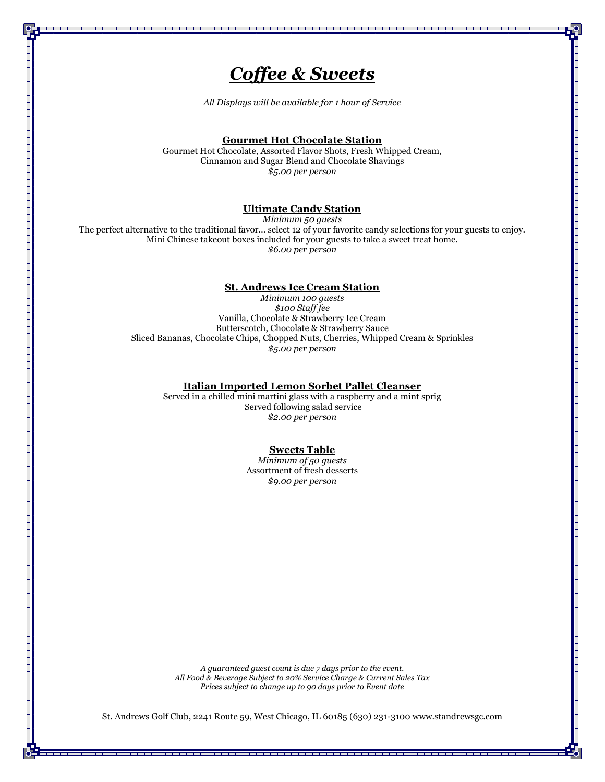## *Coffee & Sweets*

*All Displays will be available for 1 hour of Service*

## **Gourmet Hot Chocolate Station**

Gourmet Hot Chocolate, Assorted Flavor Shots, Fresh Whipped Cream, Cinnamon and Sugar Blend and Chocolate Shavings *\$5.00 per person* 

## **Ultimate Candy Station**

*Minimum 50 guests* The perfect alternative to the traditional favor… select 12 of your favorite candy selections for your guests to enjoy. Mini Chinese takeout boxes included for your guests to take a sweet treat home. *\$6.00 per person* 

## **St. Andrews Ice Cream Station**

*Minimum 100 guests \$100 Staff fee* Vanilla, Chocolate & Strawberry Ice Cream Butterscotch, Chocolate & Strawberry Sauce Sliced Bananas, Chocolate Chips, Chopped Nuts, Cherries, Whipped Cream & Sprinkles *\$5.00 per person*

## **Italian Imported Lemon Sorbet Pallet Cleanser**

Served in a chilled mini martini glass with a raspberry and a mint sprig Served following salad service *\$2.00 per person*

## **Sweets Table**

*Minimum of 50 guests*  Assortment of fresh desserts *\$9.00 per person*

*A guaranteed guest count is due 7 days prior to the event. All Food & Beverage Subject to 20% Service Charge & Current Sales Tax Prices subject to change up to 90 days prior to Event date*

St. Andrews Golf Club, 2241 Route 59, West Chicago, IL 60185 (630) 231-3100 www.standrewsgc.com

<u>s en la partir de la família de la partir de la partir </u>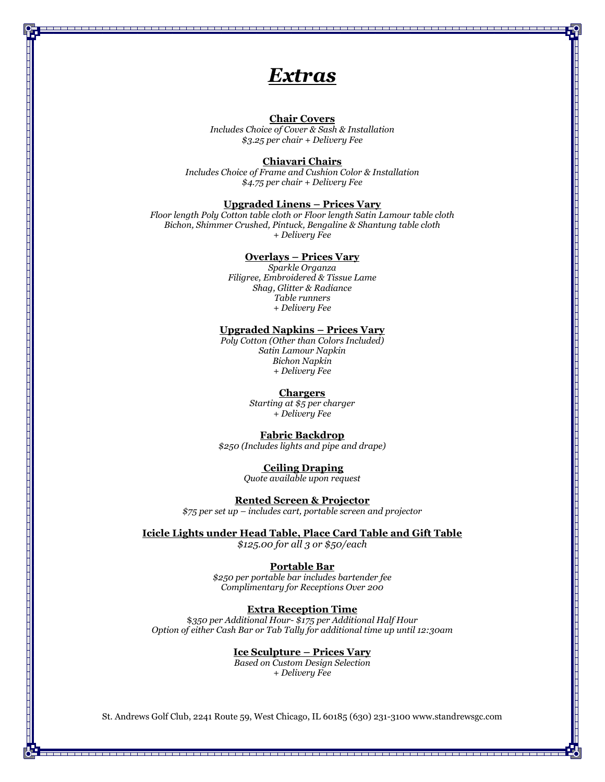## *Extras*

## **Chair Covers**

*Includes Choice of Cover & Sash & Installation \$3.25 per chair + Delivery Fee*

#### **Chiavari Chairs**

*Includes Choice of Frame and Cushion Color & Installation \$4.75 per chair + Delivery Fee*

#### **Upgraded Linens – Prices Vary**

*Floor length Poly Cotton table cloth or Floor length Satin Lamour table cloth Bichon, Shimmer Crushed, Pintuck, Bengaline & Shantung table cloth + Delivery Fee*

#### **Overlays – Prices Vary**

*Sparkle Organza Filigree, Embroidered & Tissue Lame Shag, Glitter & Radiance Table runners + Delivery Fee*

#### **Upgraded Napkins – Prices Vary**

*Poly Cotton (Other than Colors Included) Satin Lamour Napkin Bichon Napkin + Delivery Fee*

#### **Chargers**

*Starting at \$5 per charger + Delivery Fee*

#### **Fabric Backdrop**

*\$250 (Includes lights and pipe and drape)*

## **Ceiling Draping**

*Quote available upon request*

**Rented Screen & Projector** *\$75 per set up – includes cart, portable screen and projector*

## **Icicle Lights under Head Table, Place Card Table and Gift Table**

*\$125.00 for all 3 or \$50/each*

### **Portable Bar**

*\$250 per portable bar includes bartender fee Complimentary for Receptions Over 200*

## **Extra Reception Time**

\$*350 per Additional Hour- \$175 per Additional Half Hour Option of either Cash Bar or Tab Tally for additional time up until 12:30am*

## **Ice Sculpture – Prices Vary**

*Based on Custom Design Selection + Delivery Fee*

St. Andrews Golf Club, 2241 Route 59, West Chicago, IL 60185 (630) 231-3100 www.standrewsgc.com

--------------------------